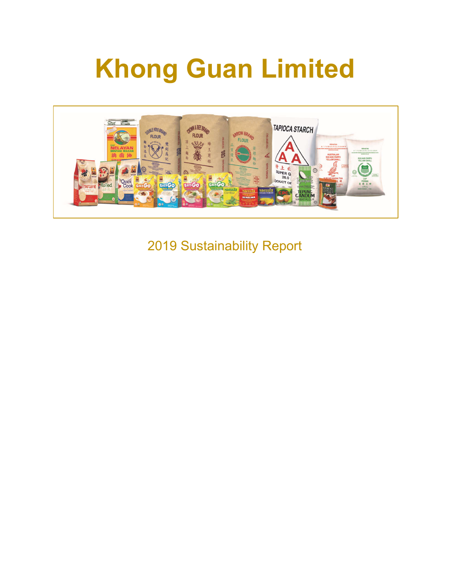# **Khong Guan Limited**



2019 Sustainability Report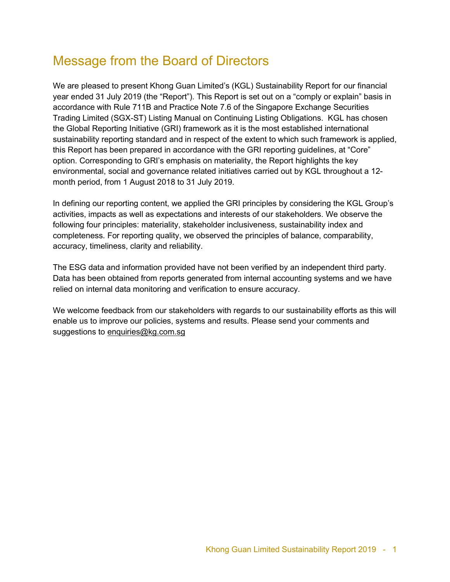# Message from the Board of Directors

We are pleased to present Khong Guan Limited's (KGL) Sustainability Report for our financial year ended 31 July 2019 (the "Report"). This Report is set out on a "comply or explain" basis in accordance with Rule 711B and Practice Note 7.6 of the Singapore Exchange Securities Trading Limited (SGX-ST) Listing Manual on Continuing Listing Obligations. KGL has chosen the Global Reporting Initiative (GRI) framework as it is the most established international sustainability reporting standard and in respect of the extent to which such framework is applied, this Report has been prepared in accordance with the GRI reporting guidelines, at "Core" option. Corresponding to GRI's emphasis on materiality, the Report highlights the key environmental, social and governance related initiatives carried out by KGL throughout a 12 month period, from 1 August 2018 to 31 July 2019.

In defining our reporting content, we applied the GRI principles by considering the KGL Group's activities, impacts as well as expectations and interests of our stakeholders. We observe the following four principles: materiality, stakeholder inclusiveness, sustainability index and completeness. For reporting quality, we observed the principles of balance, comparability, accuracy, timeliness, clarity and reliability.

The ESG data and information provided have not been verified by an independent third party. Data has been obtained from reports generated from internal accounting systems and we have relied on internal data monitoring and verification to ensure accuracy.

We welcome feedback from our stakeholders with regards to our sustainability efforts as this will enable us to improve our policies, systems and results. Please send your comments and suggestions to enquiries@kg.com.sg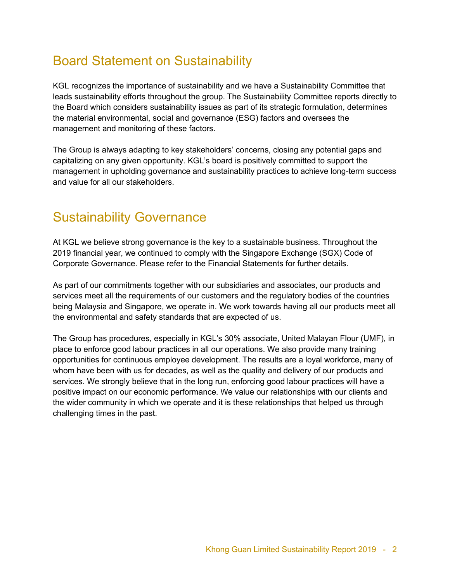# Board Statement on Sustainability

KGL recognizes the importance of sustainability and we have a Sustainability Committee that leads sustainability efforts throughout the group. The Sustainability Committee reports directly to the Board which considers sustainability issues as part of its strategic formulation, determines the material environmental, social and governance (ESG) factors and oversees the management and monitoring of these factors.

The Group is always adapting to key stakeholders' concerns, closing any potential gaps and capitalizing on any given opportunity. KGL's board is positively committed to support the management in upholding governance and sustainability practices to achieve long-term success and value for all our stakeholders.

# Sustainability Governance

At KGL we believe strong governance is the key to a sustainable business. Throughout the 2019 financial year, we continued to comply with the Singapore Exchange (SGX) Code of Corporate Governance. Please refer to the Financial Statements for further details.

As part of our commitments together with our subsidiaries and associates, our products and services meet all the requirements of our customers and the regulatory bodies of the countries being Malaysia and Singapore, we operate in. We work towards having all our products meet all the environmental and safety standards that are expected of us.

The Group has procedures, especially in KGL's 30% associate, United Malayan Flour (UMF), in place to enforce good labour practices in all our operations. We also provide many training opportunities for continuous employee development. The results are a loyal workforce, many of whom have been with us for decades, as well as the quality and delivery of our products and services. We strongly believe that in the long run, enforcing good labour practices will have a positive impact on our economic performance. We value our relationships with our clients and the wider community in which we operate and it is these relationships that helped us through challenging times in the past.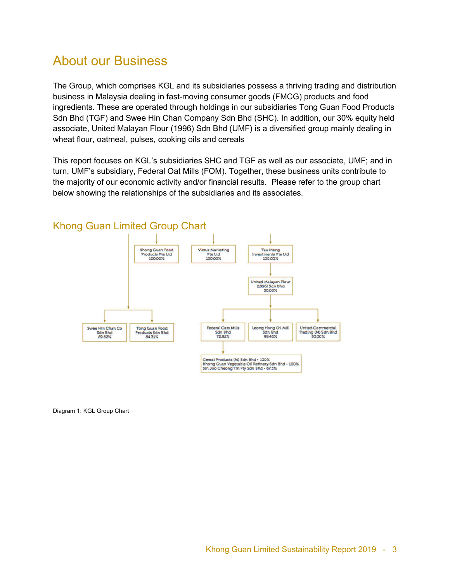## About our Business

The Group, which comprises KGL and its subsidiaries possess a thriving trading and distribution business in Malaysia dealing in fast-moving consumer goods (FMCG) products and food ingredients. These are operated through holdings in our subsidiaries Tong Guan Food Products Sdn Bhd (TGF) and Swee Hin Chan Company Sdn Bhd (SHC). In addition, our 30% equity held associate, United Malayan Flour (1996) Sdn Bhd (UMF) is a diversified group mainly dealing in wheat flour, oatmeal, pulses, cooking oils and cereals

This report focuses on KGL's subsidiaries SHC and TGF as well as our associate, UMF; and in turn, UMF's subsidiary, Federal Oat Mills (FOM). Together, these business units contribute to the majority of our economic activity and/or financial results. Please refer to the group chart below showing the relationships of the subsidiaries and its associates.



#### Khong Guan Limited Group Chart

Diagram 1: KGL Group Chart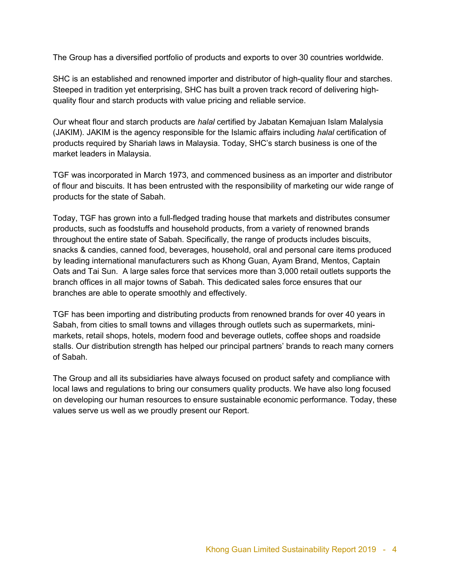The Group has a diversified portfolio of products and exports to over 30 countries worldwide.

SHC is an established and renowned importer and distributor of high-quality flour and starches. Steeped in tradition yet enterprising, SHC has built a proven track record of delivering highquality flour and starch products with value pricing and reliable service.

Our wheat flour and starch products are *halal* certified by Jabatan Kemajuan Islam Malalysia (JAKIM). JAKIM is the agency responsible for the Islamic affairs including *halal* certification of products required by Shariah laws in Malaysia. Today, SHC's starch business is one of the market leaders in Malaysia.

TGF was incorporated in March 1973, and commenced business as an importer and distributor of flour and biscuits. It has been entrusted with the responsibility of marketing our wide range of products for the state of Sabah.

Today, TGF has grown into a full-fledged trading house that markets and distributes consumer products, such as foodstuffs and household products, from a variety of renowned brands throughout the entire state of Sabah. Specifically, the range of products includes biscuits, snacks & candies, canned food, beverages, household, oral and personal care items produced by leading international manufacturers such as Khong Guan, Ayam Brand, Mentos, Captain Oats and Tai Sun. A large sales force that services more than 3,000 retail outlets supports the branch offices in all major towns of Sabah. This dedicated sales force ensures that our branches are able to operate smoothly and effectively.

TGF has been importing and distributing products from renowned brands for over 40 years in Sabah, from cities to small towns and villages through outlets such as supermarkets, minimarkets, retail shops, hotels, modern food and beverage outlets, coffee shops and roadside stalls. Our distribution strength has helped our principal partners' brands to reach many corners of Sabah.

The Group and all its subsidiaries have always focused on product safety and compliance with local laws and regulations to bring our consumers quality products. We have also long focused on developing our human resources to ensure sustainable economic performance. Today, these values serve us well as we proudly present our Report.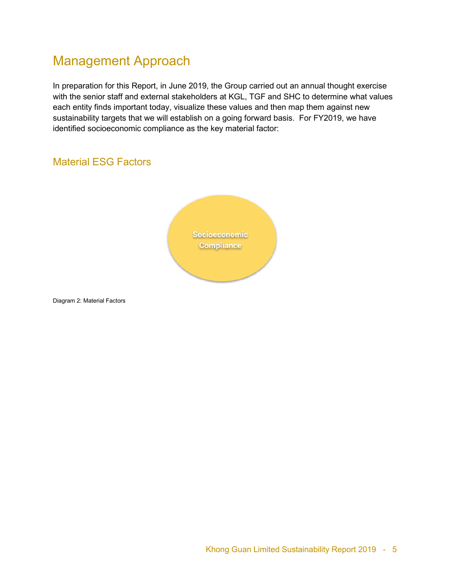# Management Approach

In preparation for this Report, in June 2019, the Group carried out an annual thought exercise with the senior staff and external stakeholders at KGL, TGF and SHC to determine what values each entity finds important today, visualize these values and then map them against new sustainability targets that we will establish on a going forward basis. For FY2019, we have identified socioeconomic compliance as the key material factor:

#### Material ESG Factors



Diagram 2: Material Factors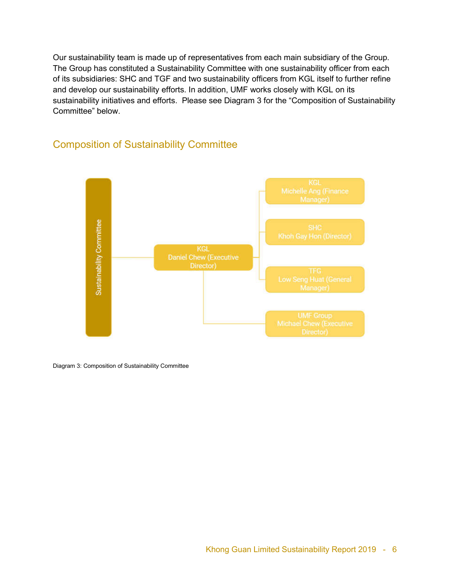Our sustainability team is made up of representatives from each main subsidiary of the Group. The Group has constituted a Sustainability Committee with one sustainability officer from each of its subsidiaries: SHC and TGF and two sustainability officers from KGL itself to further refine and develop our sustainability efforts. In addition, UMF works closely with KGL on its sustainability initiatives and efforts. Please see Diagram 3 for the "Composition of Sustainability Committee" below.



#### Composition of Sustainability Committee

Diagram 3: Composition of Sustainability Committee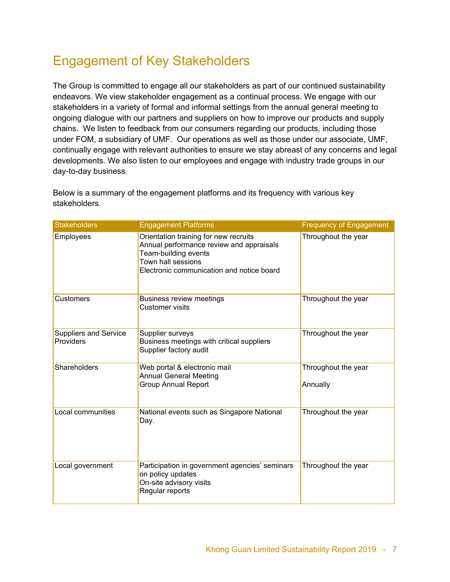# Engagement of Key Stakeholders

The Group is committed to engage all our stakeholders as part of our continued sustainability endeavors. We view stakeholder engagement as a continual process. We engage with our stakeholders in a variety of formal and informal settings from the annual general meeting to ongoing dialogue with our partners and suppliers on how to improve our products and supply chains. We listen to feedback from our consumers regarding our products, including those under FOM, a subsidiary of UMF. Our operations as well as those under our associate, UMF, continually engage with relevant authorities to ensure we stay abreast of any concerns and legal developments. We also listen to our employees and engage with industry trade groups in our day-to-day business.

| <b>Stakeholders</b>                       | <b>Engagement Platforms</b>                                                                                                                                                  | <b>Frequency of Engagement</b>  |
|-------------------------------------------|------------------------------------------------------------------------------------------------------------------------------------------------------------------------------|---------------------------------|
| Employees                                 | Orientation training for new recruits<br>Annual performance review and appraisals<br>Team-building events<br>Town hall sessions<br>Electronic communication and notice board | Throughout the year             |
| <b>Customers</b>                          | Business review meetings<br><b>Customer visits</b>                                                                                                                           | Throughout the year             |
| <b>Suppliers and Service</b><br>Providers | Supplier surveys<br>Business meetings with critical suppliers<br>Supplier factory audit                                                                                      | Throughout the year             |
| <b>Shareholders</b>                       | Web portal & electronic mail<br><b>Annual General Meeting</b><br><b>Group Annual Report</b>                                                                                  | Throughout the year<br>Annually |
| Local communities                         | National events such as Singapore National<br>Day.                                                                                                                           | Throughout the year             |
| Local government                          | Participation in government agencies' seminars<br>on policy updates<br>On-site advisory visits<br>Regular reports                                                            | Throughout the year             |

Below is a summary of the engagement platforms and its frequency with various key stakeholders.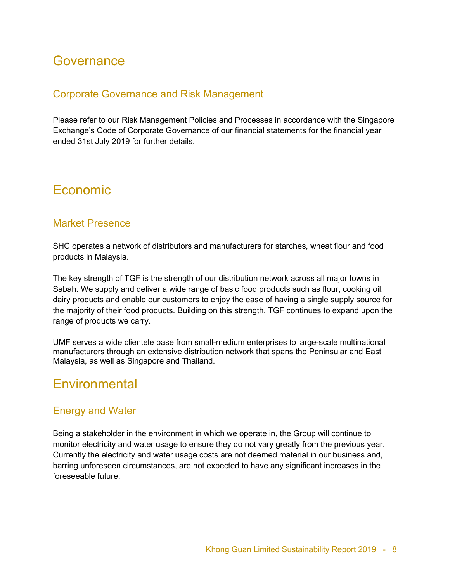## **Governance**

#### Corporate Governance and Risk Management

Please refer to our Risk Management Policies and Processes in accordance with the Singapore Exchange's Code of Corporate Governance of our financial statements for the financial year ended 31st July 2019 for further details.

## Economic

#### Market Presence

SHC operates a network of distributors and manufacturers for starches, wheat flour and food products in Malaysia.

The key strength of TGF is the strength of our distribution network across all major towns in Sabah. We supply and deliver a wide range of basic food products such as flour, cooking oil, dairy products and enable our customers to enjoy the ease of having a single supply source for the majority of their food products. Building on this strength, TGF continues to expand upon the range of products we carry.

UMF serves a wide clientele base from small-medium enterprises to large-scale multinational manufacturers through an extensive distribution network that spans the Peninsular and East Malaysia, as well as Singapore and Thailand.

## **Environmental**

#### Energy and Water

Being a stakeholder in the environment in which we operate in, the Group will continue to monitor electricity and water usage to ensure they do not vary greatly from the previous year. Currently the electricity and water usage costs are not deemed material in our business and, barring unforeseen circumstances, are not expected to have any significant increases in the foreseeable future.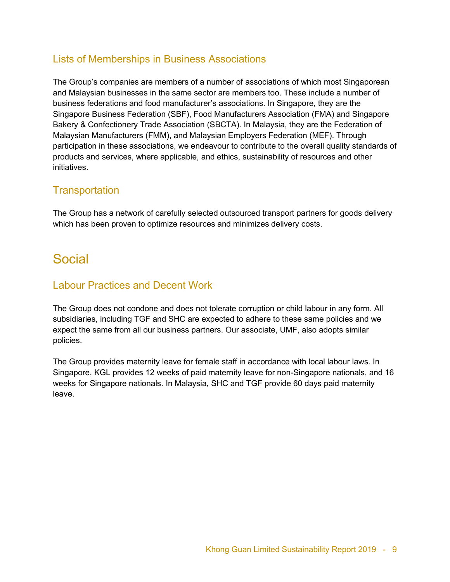#### Lists of Memberships in Business Associations

The Group's companies are members of a number of associations of which most Singaporean and Malaysian businesses in the same sector are members too. These include a number of business federations and food manufacturer's associations. In Singapore, they are the Singapore Business Federation (SBF), Food Manufacturers Association (FMA) and Singapore Bakery & Confectionery Trade Association (SBCTA). In Malaysia, they are the Federation of Malaysian Manufacturers (FMM), and Malaysian Employers Federation (MEF). Through participation in these associations, we endeavour to contribute to the overall quality standards of products and services, where applicable, and ethics, sustainability of resources and other initiatives.

#### **Transportation**

The Group has a network of carefully selected outsourced transport partners for goods delivery which has been proven to optimize resources and minimizes delivery costs.

## Social

#### Labour Practices and Decent Work

The Group does not condone and does not tolerate corruption or child labour in any form. All subsidiaries, including TGF and SHC are expected to adhere to these same policies and we expect the same from all our business partners. Our associate, UMF, also adopts similar policies.

The Group provides maternity leave for female staff in accordance with local labour laws. In Singapore, KGL provides 12 weeks of paid maternity leave for non-Singapore nationals, and 16 weeks for Singapore nationals. In Malaysia, SHC and TGF provide 60 days paid maternity leave.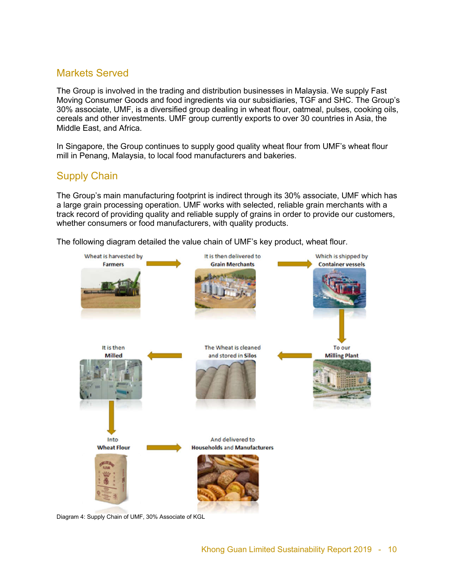#### Markets Served

The Group is involved in the trading and distribution businesses in Malaysia. We supply Fast Moving Consumer Goods and food ingredients via our subsidiaries, TGF and SHC. The Group's 30% associate, UMF, is a diversified group dealing in wheat flour, oatmeal, pulses, cooking oils, cereals and other investments. UMF group currently exports to over 30 countries in Asia, the Middle East, and Africa.

In Singapore, the Group continues to supply good quality wheat flour from UMF's wheat flour mill in Penang, Malaysia, to local food manufacturers and bakeries.

#### Supply Chain

The Group's main manufacturing footprint is indirect through its 30% associate, UMF which has a large grain processing operation. UMF works with selected, reliable grain merchants with a track record of providing quality and reliable supply of grains in order to provide our customers, whether consumers or food manufacturers, with quality products.

The following diagram detailed the value chain of UMF's key product, wheat flour.



Diagram 4: Supply Chain of UMF, 30% Associate of KGL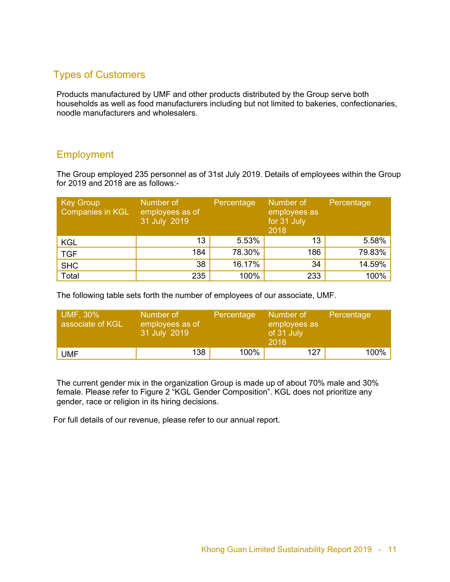#### Types of Customers

Products manufactured by UMF and other products distributed by the Group serve both households as well as food manufacturers including but not limited to bakeries, confectionaries, noodle manufacturers and wholesalers.

#### **Employment**

The Group employed 235 personnel as of 31st July 2019. Details of employees within the Group for 2019 and 2018 are as follows:-

| <b>Key Group</b><br><b>Companies in KGL</b> | Number of<br>employees as of<br>31 July 2019 | Percentage | Number of<br>employees as<br>for 31 July<br>2018 | Percentage |
|---------------------------------------------|----------------------------------------------|------------|--------------------------------------------------|------------|
| <b>KGL</b>                                  | 13                                           | 5.53%      | 13                                               | 5.58%      |
| <b>TGF</b>                                  | 184                                          | 78.30%     | 186                                              | 79.83%     |
| <b>SHC</b>                                  | 38                                           | 16.17%     | 34                                               | 14.59%     |
| Total                                       | 235                                          | 100%       | 233                                              | 100%       |

The following table sets forth the number of employees of our associate, UMF.

| UMF, 30%<br>associate of KGL | Number of<br>employees as of<br>31 July 2019 | Percentage | Number of<br>employees as<br>of 31 July<br>2018 | Percentage |
|------------------------------|----------------------------------------------|------------|-------------------------------------------------|------------|
| <b>UMF</b>                   | 138 <sub>1</sub>                             | 100%       | 127                                             | 100%       |

The current gender mix in the organization Group is made up of about 70% male and 30% female. Please refer to Figure 2 "KGL Gender Composition". KGL does not prioritize any gender, race or religion in its hiring decisions.

For full details of our revenue, please refer to our annual report.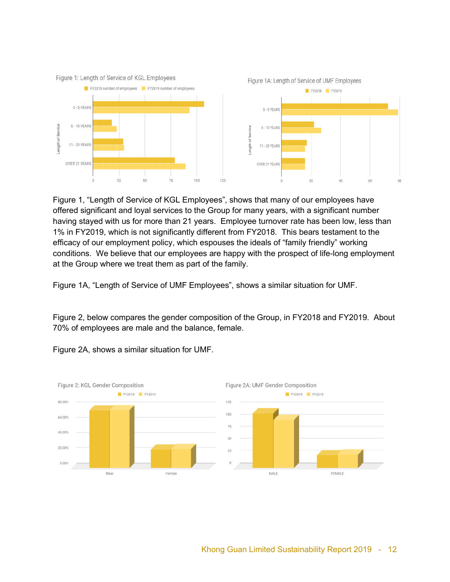

Figure 1, "Length of Service of KGL Employees", shows that many of our employees have offered significant and loyal services to the Group for many years, with a significant number having stayed with us for more than 21 years. Employee turnover rate has been low, less than 1% in FY2019, which is not significantly different from FY2018. This bears testament to the efficacy of our employment policy, which espouses the ideals of "family friendly" working conditions. We believe that our employees are happy with the prospect of life-long employment at the Group where we treat them as part of the family.

Figure 1A, "Length of Service of UMF Employees", shows a similar situation for UMF.

Figure 2, below compares the gender composition of the Group, in FY2018 and FY2019. About 70% of employees are male and the balance, female.



Figure 2A, shows a similar situation for UMF.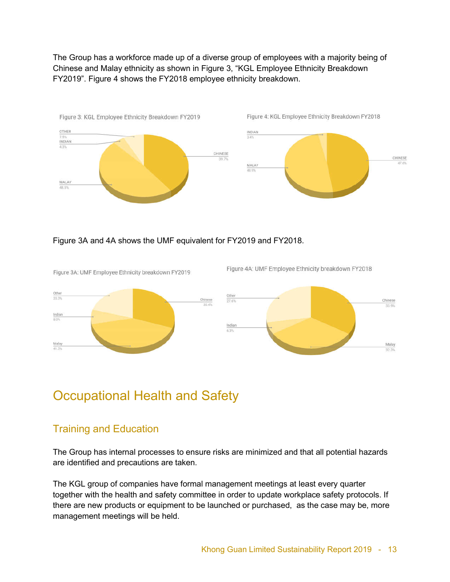The Group has a workforce made up of a diverse group of employees with a majority being of Chinese and Malay ethnicity as shown in Figure 3, "KGL Employee Ethnicity Breakdown FY2019". Figure 4 shows the FY2018 employee ethnicity breakdown.



#### Figure 3A and 4A shows the UMF equivalent for FY2019 and FY2018.

Figure 3A: UMF Employee Ethnicity breakdown FY2019





Figure 4A: UMF Employee Ethnicity breakdown FY2018

## Occupational Health and Safety

#### Training and Education

The Group has internal processes to ensure risks are minimized and that all potential hazards are identified and precautions are taken.

The KGL group of companies have formal management meetings at least every quarter together with the health and safety committee in order to update workplace safety protocols. If there are new products or equipment to be launched or purchased, as the case may be, more management meetings will be held.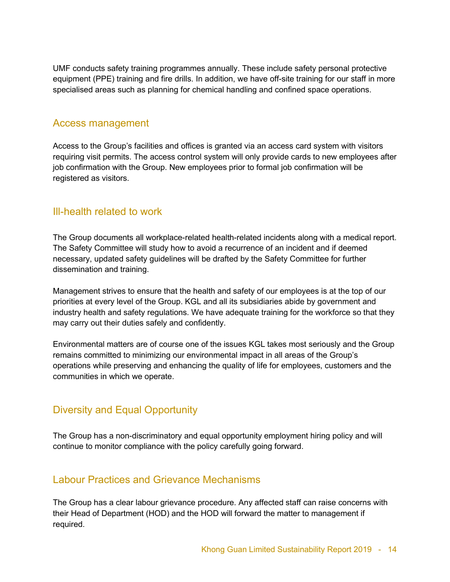UMF conducts safety training programmes annually. These include safety personal protective equipment (PPE) training and fire drills. In addition, we have off-site training for our staff in more specialised areas such as planning for chemical handling and confined space operations.

#### Access management

Access to the Group's facilities and offices is granted via an access card system with visitors requiring visit permits. The access control system will only provide cards to new employees after job confirmation with the Group. New employees prior to formal job confirmation will be registered as visitors.

#### Ill-health related to work

The Group documents all workplace-related health-related incidents along with a medical report. The Safety Committee will study how to avoid a recurrence of an incident and if deemed necessary, updated safety guidelines will be drafted by the Safety Committee for further dissemination and training.

Management strives to ensure that the health and safety of our employees is at the top of our priorities at every level of the Group. KGL and all its subsidiaries abide by government and industry health and safety regulations. We have adequate training for the workforce so that they may carry out their duties safely and confidently.

Environmental matters are of course one of the issues KGL takes most seriously and the Group remains committed to minimizing our environmental impact in all areas of the Group's operations while preserving and enhancing the quality of life for employees, customers and the communities in which we operate.

#### Diversity and Equal Opportunity

The Group has a non-discriminatory and equal opportunity employment hiring policy and will continue to monitor compliance with the policy carefully going forward.

#### Labour Practices and Grievance Mechanisms

The Group has a clear labour grievance procedure. Any affected staff can raise concerns with their Head of Department (HOD) and the HOD will forward the matter to management if required.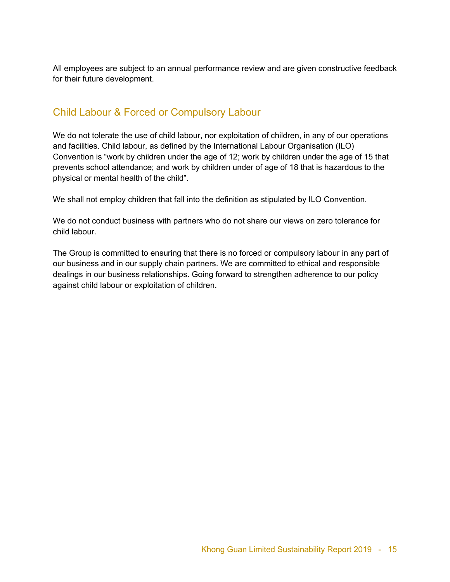All employees are subject to an annual performance review and are given constructive feedback for their future development.

#### Child Labour & Forced or Compulsory Labour

We do not tolerate the use of child labour, nor exploitation of children, in any of our operations and facilities. Child labour, as defined by the International Labour Organisation (ILO) Convention is "work by children under the age of 12; work by children under the age of 15 that prevents school attendance; and work by children under of age of 18 that is hazardous to the physical or mental health of the child".

We shall not employ children that fall into the definition as stipulated by ILO Convention.

We do not conduct business with partners who do not share our views on zero tolerance for child labour.

The Group is committed to ensuring that there is no forced or compulsory labour in any part of our business and in our supply chain partners. We are committed to ethical and responsible dealings in our business relationships. Going forward to strengthen adherence to our policy against child labour or exploitation of children.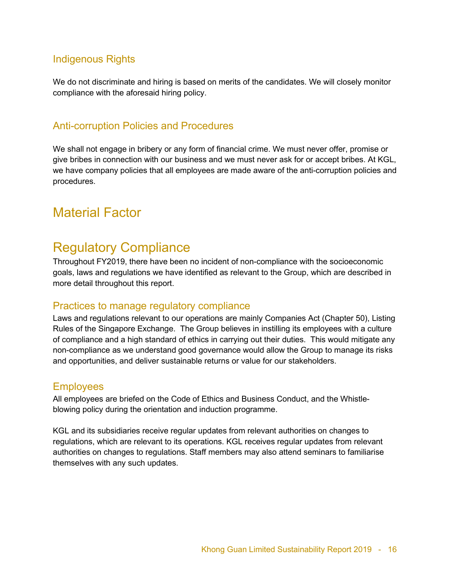#### Indigenous Rights

We do not discriminate and hiring is based on merits of the candidates. We will closely monitor compliance with the aforesaid hiring policy.

#### Anti-corruption Policies and Procedures

We shall not engage in bribery or any form of financial crime. We must never offer, promise or give bribes in connection with our business and we must never ask for or accept bribes. At KGL, we have company policies that all employees are made aware of the anti-corruption policies and procedures.

## Material Factor

## Regulatory Compliance

Throughout FY2019, there have been no incident of non-compliance with the socioeconomic goals, laws and regulations we have identified as relevant to the Group, which are described in more detail throughout this report.

#### Practices to manage regulatory compliance

Laws and regulations relevant to our operations are mainly Companies Act (Chapter 50), Listing Rules of the Singapore Exchange. The Group believes in instilling its employees with a culture of compliance and a high standard of ethics in carrying out their duties. This would mitigate any non-compliance as we understand good governance would allow the Group to manage its risks and opportunities, and deliver sustainable returns or value for our stakeholders.

#### **Employees**

All employees are briefed on the Code of Ethics and Business Conduct, and the Whistleblowing policy during the orientation and induction programme.

KGL and its subsidiaries receive regular updates from relevant authorities on changes to regulations, which are relevant to its operations. KGL receives regular updates from relevant authorities on changes to regulations. Staff members may also attend seminars to familiarise themselves with any such updates.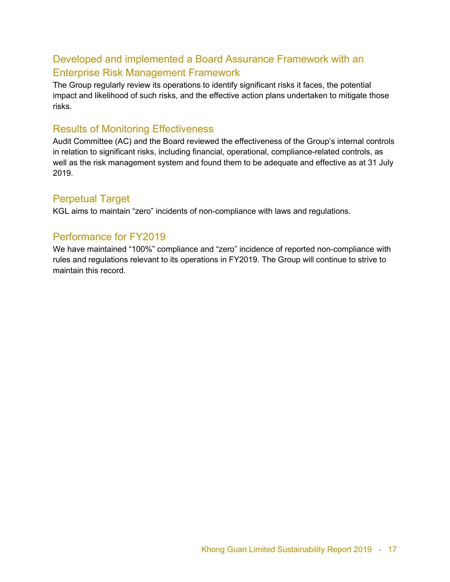#### Developed and implemented a Board Assurance Framework with an Enterprise Risk Management Framework

The Group regularly review its operations to identify significant risks it faces, the potential impact and likelihood of such risks, and the effective action plans undertaken to mitigate those risks.

#### Results of Monitoring Effectiveness

Audit Committee (AC) and the Board reviewed the effectiveness of the Group's internal controls in relation to significant risks, including financial, operational, compliance-related controls, as well as the risk management system and found them to be adequate and effective as at 31 July 2019.

#### Perpetual Target

KGL aims to maintain "zero" incidents of non-compliance with laws and regulations.

#### Performance for FY2019

We have maintained "100%" compliance and "zero" incidence of reported non-compliance with rules and regulations relevant to its operations in FY2019. The Group will continue to strive to maintain this record.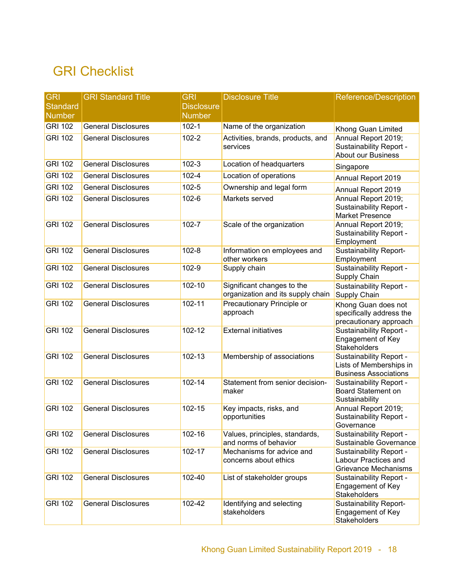# GRI Checklist

| <b>GRI</b>      | <b>GRI Standard Title</b>  | <b>GRI</b>        | <b>Disclosure Title</b>                            | Reference/Description                           |
|-----------------|----------------------------|-------------------|----------------------------------------------------|-------------------------------------------------|
| <b>Standard</b> |                            | <b>Disclosure</b> |                                                    |                                                 |
| <b>Number</b>   |                            | <b>Number</b>     |                                                    |                                                 |
| <b>GRI 102</b>  | <b>General Disclosures</b> | $102 - 1$         | Name of the organization                           | Khong Guan Limited                              |
| <b>GRI 102</b>  | <b>General Disclosures</b> | $102 - 2$         | Activities, brands, products, and                  | Annual Report 2019;                             |
|                 |                            |                   | services                                           | Sustainability Report -                         |
|                 |                            |                   |                                                    | <b>About our Business</b>                       |
| <b>GRI 102</b>  | <b>General Disclosures</b> | $102 - 3$         | Location of headquarters                           | Singapore                                       |
| <b>GRI 102</b>  | <b>General Disclosures</b> | 102-4             | Location of operations                             | Annual Report 2019                              |
| <b>GRI 102</b>  | <b>General Disclosures</b> | $102 - 5$         | Ownership and legal form                           | Annual Report 2019                              |
| <b>GRI 102</b>  | <b>General Disclosures</b> | 102-6             | Markets served                                     | Annual Report 2019;                             |
|                 |                            |                   |                                                    | <b>Sustainability Report -</b>                  |
| <b>GRI 102</b>  | <b>General Disclosures</b> | $102 - 7$         |                                                    | <b>Market Presence</b><br>Annual Report 2019;   |
|                 |                            |                   | Scale of the organization                          | Sustainability Report -                         |
|                 |                            |                   |                                                    | Employment                                      |
| <b>GRI 102</b>  | <b>General Disclosures</b> | $102 - 8$         | Information on employees and                       | <b>Sustainability Report-</b>                   |
|                 |                            |                   | other workers                                      | Employment                                      |
| <b>GRI 102</b>  | <b>General Disclosures</b> | 102-9             | Supply chain                                       | Sustainability Report -                         |
| <b>GRI 102</b>  | <b>General Disclosures</b> | 102-10            | Significant changes to the                         | Supply Chain                                    |
|                 |                            |                   | organization and its supply chain                  | <b>Sustainability Report -</b><br>Supply Chain  |
| <b>GRI 102</b>  | <b>General Disclosures</b> | 102-11            | Precautionary Principle or                         | Khong Guan does not                             |
|                 |                            |                   | approach                                           | specifically address the                        |
|                 |                            |                   |                                                    | precautionary approach                          |
| <b>GRI 102</b>  | <b>General Disclosures</b> | 102-12            | <b>External initiatives</b>                        | <b>Sustainability Report -</b>                  |
|                 |                            |                   |                                                    | Engagement of Key<br><b>Stakeholders</b>        |
| <b>GRI 102</b>  | <b>General Disclosures</b> | 102-13            | Membership of associations                         | <b>Sustainability Report -</b>                  |
|                 |                            |                   |                                                    | Lists of Memberships in                         |
|                 |                            |                   |                                                    | <b>Business Associations</b>                    |
| <b>GRI 102</b>  | <b>General Disclosures</b> | 102-14            | Statement from senior decision-                    | Sustainability Report -                         |
|                 |                            |                   | maker                                              | <b>Board Statement on</b>                       |
| <b>GRI 102</b>  | <b>General Disclosures</b> | 102-15            | Key impacts, risks, and                            | Sustainability<br>Annual Report 2019;           |
|                 |                            |                   | opportunities                                      | Sustainability Report -                         |
|                 |                            |                   |                                                    | Governance                                      |
| <b>GRI 102</b>  | General Disclosures        | 102-16            | Values, principles, standards,                     | Sustainability Report -                         |
|                 |                            |                   | and norms of behavior                              | Sustainable Governance                          |
| <b>GRI 102</b>  | <b>General Disclosures</b> | 102-17            | Mechanisms for advice and<br>concerns about ethics | Sustainability Report -<br>Labour Practices and |
|                 |                            |                   |                                                    | <b>Grievance Mechanisms</b>                     |
| <b>GRI 102</b>  | <b>General Disclosures</b> | 102-40            | List of stakeholder groups                         | Sustainability Report -                         |
|                 |                            |                   |                                                    | Engagement of Key                               |
|                 |                            |                   |                                                    | <b>Stakeholders</b>                             |
| <b>GRI 102</b>  | <b>General Disclosures</b> | 102-42            | Identifying and selecting<br>stakeholders          | Sustainability Report-<br>Engagement of Key     |
|                 |                            |                   |                                                    | Stakeholders                                    |